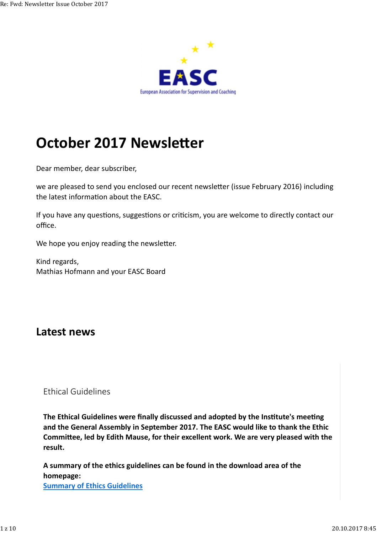

# **October 2017 Newsletter**

Dear member, dear subscriber,

we are pleased to send you enclosed our recent newsletter (issue February 2016) including the latest information about the EASC.

If you have any questions, suggestions or criticism, you are welcome to directly contact our office.

We hope you enjoy reading the newsletter.

Kind regards, Mathias Hofmann and your EASC Board

### **Latest news**

#### Ethical Guidelines

The Ethical Guidelines were finally discussed and adopted by the Institute's meeting **and the General Assembly in September 2017. The EASC would like to thank the Ethic** Committee, led by Edith Mause, for their excellent work. We are very pleased with the **result.**

**A summary of the ethics guidelines can be found in the download area of the homepage: Summary of Ethics Guidelines**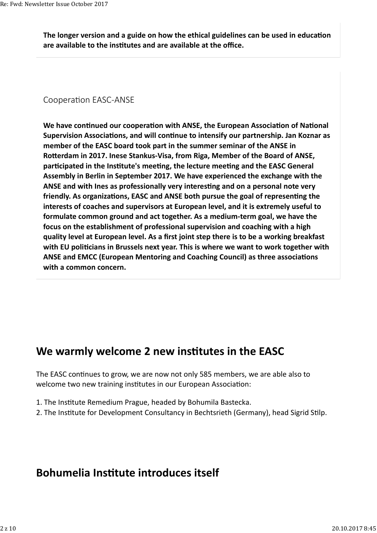The longer version and a guide on how the ethical guidelines can be used in education **are available to the ins tutes and are available at the office.**

#### Cooperation EASC-ANSE

We have continued our cooperation with ANSE, the European Association of National **Supervision Associations, and will continue to intensify our partnership. Jan Koznar as member of the EASC board took part in the summer seminar of the ANSE in** Rotterdam in 2017. Inese Stankus-Visa, from Riga, Member of the Board of ANSE, participated in the Institute's meeting, the lecture meeting and the EASC General **Assembly in Berlin in September 2017. We have experienced the exchange with the** ANSE and with lnes as professionally very interesting and on a personal note very friendly. As organizations, EASC and ANSE both pursue the goal of representing the **interests of coaches and supervisors at European level, and it is extremely useful to formulate common ground and act together. As a medium-term goal, we have the focus on the establishment of professional supervision and coaching with a high quality level at European level. As a first joint step there is to be a working breakfast** with EU politicians in Brussels next year. This is where we want to work together with **ANSE and EMCC (European Mentoring and Coaching Council) as three associations with a common concern.**

### **We warmly welcome 2 new institutes in the EASC**

The EASC continues to grow, we are now not only 585 members, we are able also to welcome two new training institutes in our European Association:

- 1. The Institute Remedium Prague, headed by Bohumila Bastecka.
- 2. The Institute for Development Consultancy in Bechtsrieth (Germany), head Sigrid Stilp.

### **Bohumelia Institute introduces itself**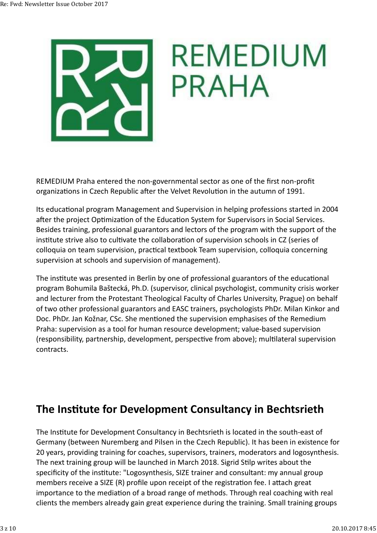

REMEDIUM Praha entered the non-governmental sector as one of the first non-profit organizations in Czech Republic after the Velvet Revolution in the autumn of 1991.

Its educational program Management and Supervision in helping professions started in 2004 after the project Optimization of the Education System for Supervisors in Social Services. Besides training, professional guarantors and lectors of the program with the support of the institute strive also to cultivate the collaboration of supervision schools in CZ (series of colloquia on team supervision, practical textbook Team supervision, colloquia concerning supervision at schools and supervision of management).

The institute was presented in Berlin by one of professional guarantors of the educational program Bohumila Baštecká, Ph.D. (supervisor, clinical psychologist, community crisis worker and lecturer from the Protestant Theological Faculty of Charles University, Prague) on behalf of two other professional guarantors and EASC trainers, psychologists PhDr. Milan Kinkor and Doc. PhDr. Jan Kožnar, CSc. She mentioned the supervision emphasises of the Remedium Praha: supervision as a tool for human resource development; value-based supervision (responsibility, partnership, development, perspective from above); multilateral supervision contracts.

# **The Institute for Development Consultancy in Bechtsrieth**

The Institute for Development Consultancy in Bechtsrieth is located in the south-east of Germany (between Nuremberg and Pilsen in the Czech Republic). It has been in existence for 20 years, providing training for coaches, supervisors, trainers, moderators and logosynthesis. The next training group will be launched in March 2018. Sigrid Stilp writes about the specificity of the institute: "Logosynthesis, SIZE trainer and consultant: my annual group members receive a SIZE (R) profile upon receipt of the registration fee. I attach great importance to the mediation of a broad range of methods. Through real coaching with real clients the members already gain great experience during the training. Small training groups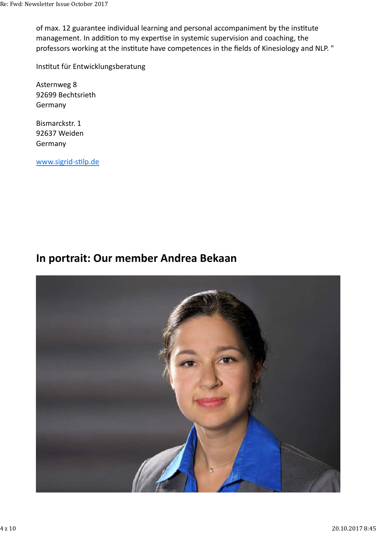of max. 12 guarantee individual learning and personal accompaniment by the institute management. In addition to my expertise in systemic supervision and coaching, the professors working at the institute have competences in the fields of Kinesiology and NLP. "

Institut für Entwicklungsberatung

Asternweg 8 92699 Bechtsrieth Germany

Bismarckstr. 1 92637 Weiden Germany

www.sigrid-stilp.de

### **In portrait: Our member Andrea Bekaan**

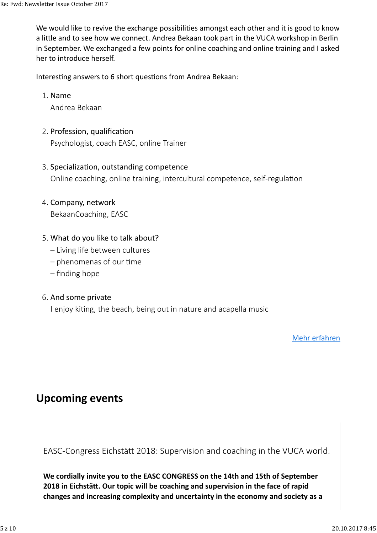We would like to revive the exchange possibilities amongst each other and it is good to know a little and to see how we connect. Andrea Bekaan took part in the VUCA workshop in Berlin in September. We exchanged a few points for online coaching and online training and I asked her to introduce herself.

Interesting answers to 6 short questions from Andrea Bekaan:

#### 1. Name

Andrea Bekaan

#### 2. Profession, qualification

Psychologist, coach EASC, online Trainer

#### 3. Specialization, outstanding competence

Online coaching, online training, intercultural competence, self-regulation

#### 4. Company, network

BekaanCoaching, EASC

#### What do you like to talk about? 5.

- Living life between cultures
- $-$  phenomenas of our time
- finding hope

#### 6. And some private

I enjoy kiting, the beach, being out in nature and acapella music

Mehr erfahren

# **Upcoming events**

EASC-Congress Eichstätt 2018: Supervision and coaching in the VUCA world.

**We cordially invite you to the EASC CONGRESS on the 14th and 15th of September 2018 in Eichstätt. Our topic will be coaching and supervision in the face of rapid changes and increasing complexity and uncertainty in the economy and society as a**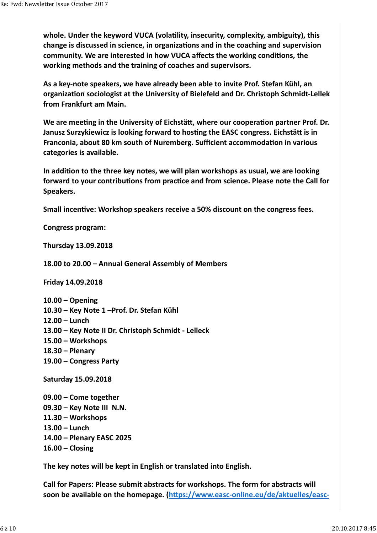whole. Under the keyword VUCA (volatility, insecurity, complexity, ambiguity), this change is discussed in science, in organizations and in the coaching and supervision community. We are interested in how VUCA affects the working conditions, the **working methods and the training of coaches and supervisors.**

**As a key-note speakers, we have already been able to invite Prof. Stefan Kühl, an organiza on sociologist at the University of Bielefeld and Dr. Christoph Schmidt-Lellek from Frankfurt am Main.**

We are meeting in the University of Eichstätt, where our cooperation partner Prof. Dr. **Janusz Surzykiewicz is looking forward to hosting the EASC congress. Eichstätt is in Franconia, about 80 km south of Nuremberg. Sufficient accommodation in various categories is available.**

In addition to the three key notes, we will plan workshops as usual, we are looking forward to your contributions from practice and from science. Please note the Call for **Speakers.**

**Small incen ve: Workshop speakers receive a 50% discount on the congress fees.**

**Congress program:**

**Thursday 13.09.2018**

**18.00 to 20.00 – Annual General Assembly of Members**

**Friday 14.09.2018**

**10.00 – Opening 10.30 – Key Note 1 –Prof. Dr. Stefan Kühl 12.00 – Lunch 13.00 – Key Note II Dr. Christoph Schmidt - Lelleck 15.00 – Workshops 18.30 – Plenary 19.00 – Congress Party** 

**Saturday 15.09.2018**

**09.00 – Come together 09.30 – Key Note III N.N. 11.30 – Workshops 13.00 – Lunch 14.00 – Plenary EASC 2025 16.00 – Closing** 

**The key notes will be kept in English or translated into English.**

**Call for Papers: Please submit abstracts for workshops. The form for abstracts will** soon be available on the homepage. (https://www.easc-online.eu/de/aktuelles/easc-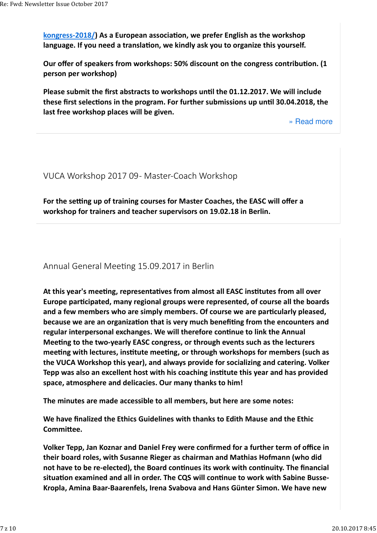kongress-2018/) As a European association, we prefer English as the workshop language. If you need a translation, we kindly ask you to organize this yourself.

**Our offer of speakers from workshops: 50% discount on the congress contribution. (1) person per workshop)**

**Please submit the first abstracts to workshops until the 01.12.2017. We will include** these first selections in the program. For further submissions up until 30.04.2018, the **last free workshop places will be given.**

» Read more

VUCA Workshop 2017 09 - Master-Coach Workshop

For the setting up of training courses for Master Coaches, the EASC will offer a **workshop for trainers and teacher supervisors on 19.02.18 in Berlin.**

Annual General Meeting 15.09.2017 in Berlin

At this year's meeting, representatives from almost all EASC institutes from all over Europe participated, many regional groups were represented, of course all the boards and a few members who are simply members. Of course we are particularly pleased, **because we are an organization that is very much benefiting from the encounters and** regular interpersonal exchanges. We will therefore continue to link the Annual **Mee ng to the two-yearly EASC congress, or through events such as the lecturers** meeting with lectures, institute meeting, or through workshops for members (such as **the VUCA Workshop this year), and always provide for socializing and catering. Volker Tepp was also an excellent host with his coaching institute this year and has provided space, atmosphere and delicacies. Our many thanks to him!**

**The minutes are made accessible to all members, but here are some notes:**

**We have finalized the Ethics Guidelines with thanks to Edith Mause and the Ethic Committee.** 

**Volker Tepp, Jan Koznar and Daniel Frey were confirmed for a further term of office in their board roles, with Susanne Rieger as chairman and Mathias Hofmann (who did** not have to be re-elected), the Board continues its work with continuity. The financial situation examined and all in order. The CQS will continue to work with Sabine Busse-**Kropla, Amina Baar-Baarenfels, Irena Svabova and Hans Günter Simon. We have new**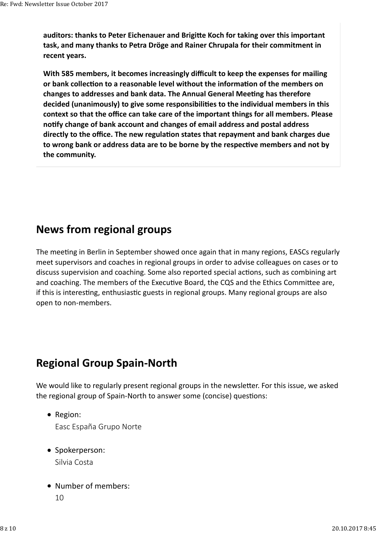auditors: thanks to Peter Eichenauer and Brigitte Koch for taking over this important **task, and many thanks to Petra Dröge and Rainer Chrupala for their commitment in recent years.**

**With 585 members, it becomes increasingly difficult to keep the expenses for mailing** or bank collection to a reasonable level without the information of the members on changes to addresses and bank data. The Annual General Meeting has therefore decided (unanimously) to give some responsibilities to the individual members in this **context so that the office can take care of the important things for all members. Please no fy change of bank account and changes of email address and postal address** directly to the office. The new regulation states that repayment and bank charges due to wrong bank or address data are to be borne by the respective members and not by **the community.**

### **News from regional groups**

The meeting in Berlin in September showed once again that in many regions, EASCs regularly meet supervisors and coaches in regional groups in order to advise colleagues on cases or to discuss supervision and coaching. Some also reported special actions, such as combining art and coaching. The members of the Executive Board, the CQS and the Ethics Committee are, if this is interesting, enthusiastic guests in regional groups. Many regional groups are also open to non-members.

# **Regional Group Spain-North**

We would like to regularly present regional groups in the newsletter. For this issue, we asked the regional group of Spain-North to answer some (concise) questions:

• Region:

Easc España Grupo Norte

- Spokerperson: Silvia Costa
- Number of members:
	- 10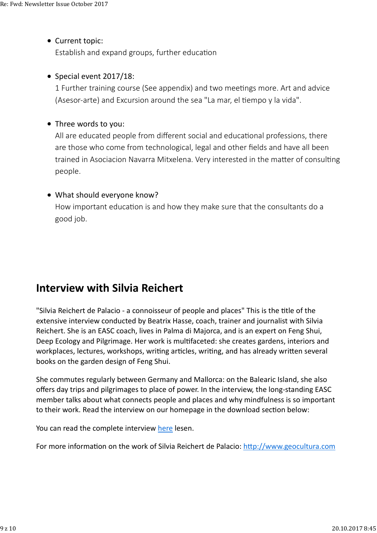#### • Current topic:

Establish and expand groups, further education

#### $\bullet$  Special event 2017/18:

1 Further training course (See appendix) and two meetings more. Art and advice (Asesor-arte) and Excursion around the sea "La mar, el tiempo y la vida".

#### Three words to you:

All are educated people from different social and educational professions, there are those who come from technological, legal and other fields and have all been trained in Asociacion Navarra Mitxelena. Very interested in the matter of consulting people.

#### • What should everyone know?

How important education is and how they make sure that the consultants do a good job.

## **Interview with Silvia Reichert**

"Silvia Reichert de Palacio - a connoisseur of people and places" This is the title of the extensive interview conducted by Beatrix Hasse, coach, trainer and journalist with Silvia Reichert. She is an EASC coach, lives in Palma di Majorca, and is an expert on Feng Shui, Deep Ecology and Pilgrimage. Her work is multifaceted: she creates gardens, interiors and workplaces, lectures, workshops, writing articles, writing, and has already written several books on the garden design of Feng Shui.

She commutes regularly between Germany and Mallorca: on the Balearic Island, she also offers day trips and pilgrimages to place of power. In the interview, the long-standing EASC member talks about what connects people and places and why mindfulness is so important to their work. Read the interview on our homepage in the download section below:

You can read the complete interview here lesen.

For more information on the work of Silvia Reichert de Palacio: http://www.geocultura.com